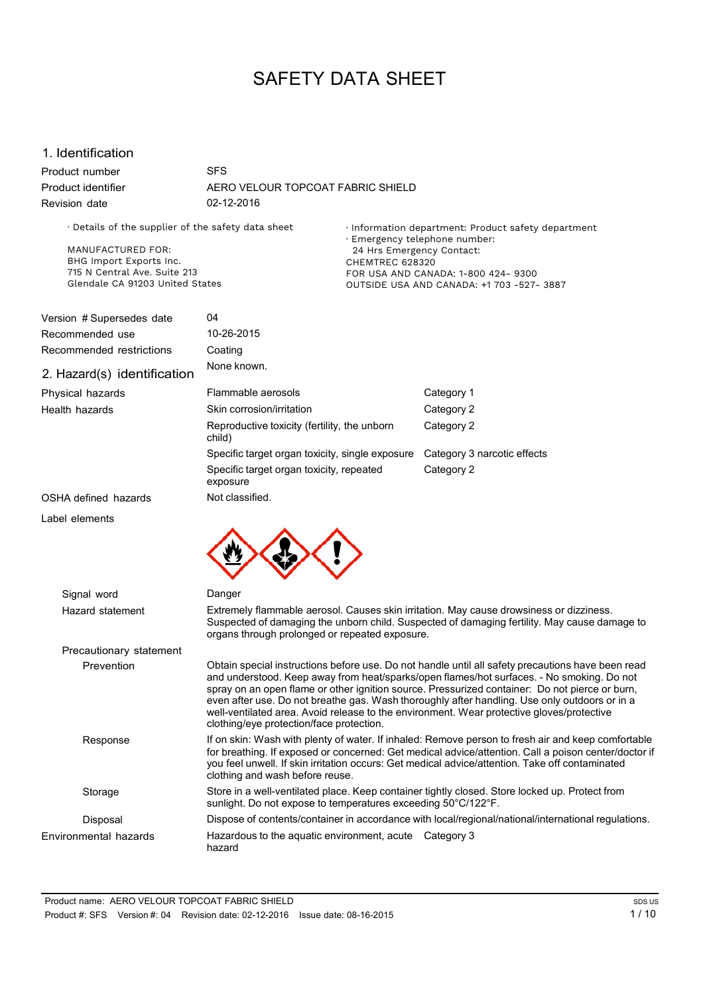# SAFETY DATA SHEET

## 1. Identification

Product number Product identifier Revision date SFS AERO VELOUR TOPCOAT FABRIC SHIELD 02-12-2016

· Details of the supplier of the safety data sheet

MANUFACTURED FOR: BHG Import Exports Inc. 715 N Central Ave. Suite 213 Glendale CA 91203 United States · Information department: Product safety department · Emergency telephone number: 24 Hrs Emergency Contact: CHEMTREC 628320 FOR USA AND CANADA: 1-800 424- 9300 OUTSIDE USA AND CANADA: +1 703 -527- 3887

| Version # Supersedes date   | 04                                                     |                             |
|-----------------------------|--------------------------------------------------------|-----------------------------|
| Recommended use             | 10-26-2015                                             |                             |
| Recommended restrictions    | Coating                                                |                             |
| 2. Hazard(s) identification | None known.                                            |                             |
| Physical hazards            | Flammable aerosols                                     | Category 1                  |
| Health hazards              | Skin corrosion/irritation                              | Category 2                  |
|                             | Reproductive toxicity (fertility, the unborn<br>child) | Category 2                  |
|                             | Specific target organ toxicity, single exposure        | Category 3 narcotic effects |
|                             | Specific target organ toxicity, repeated<br>exposure   | Category 2                  |
| OSHA defined hazards        | Not classified.                                        |                             |
| Label elements              |                                                        |                             |



| Signal word             | Danger                                                                                                                                                                                                                                                                                                                                                                                                                                                                                                                                     |
|-------------------------|--------------------------------------------------------------------------------------------------------------------------------------------------------------------------------------------------------------------------------------------------------------------------------------------------------------------------------------------------------------------------------------------------------------------------------------------------------------------------------------------------------------------------------------------|
| Hazard statement        | Extremely flammable aerosol. Causes skin irritation. May cause drowsiness or dizziness.<br>Suspected of damaging the unborn child. Suspected of damaging fertility. May cause damage to<br>organs through prolonged or repeated exposure.                                                                                                                                                                                                                                                                                                  |
| Precautionary statement |                                                                                                                                                                                                                                                                                                                                                                                                                                                                                                                                            |
| Prevention              | Obtain special instructions before use. Do not handle until all safety precautions have been read<br>and understood. Keep away from heat/sparks/open flames/hot surfaces. - No smoking. Do not<br>spray on an open flame or other ignition source. Pressurized container: Do not pierce or burn,<br>even after use. Do not breathe gas. Wash thoroughly after handling. Use only outdoors or in a<br>well-ventilated area. Avoid release to the environment. Wear protective gloves/protective<br>clothing/eye protection/face protection. |
| Response                | If on skin: Wash with plenty of water. If inhaled: Remove person to fresh air and keep comfortable<br>for breathing. If exposed or concerned: Get medical advice/attention. Call a poison center/doctor if<br>you feel unwell. If skin irritation occurs: Get medical advice/attention. Take off contaminated<br>clothing and wash before reuse.                                                                                                                                                                                           |
| Storage                 | Store in a well-ventilated place. Keep container tightly closed. Store locked up. Protect from<br>sunlight. Do not expose to temperatures exceeding 50°C/122°F.                                                                                                                                                                                                                                                                                                                                                                            |
| Disposal                | Dispose of contents/container in accordance with local/regional/national/international regulations.                                                                                                                                                                                                                                                                                                                                                                                                                                        |
| Environmental hazards   | Hazardous to the aquatic environment, acute<br>Category 3<br>hazard                                                                                                                                                                                                                                                                                                                                                                                                                                                                        |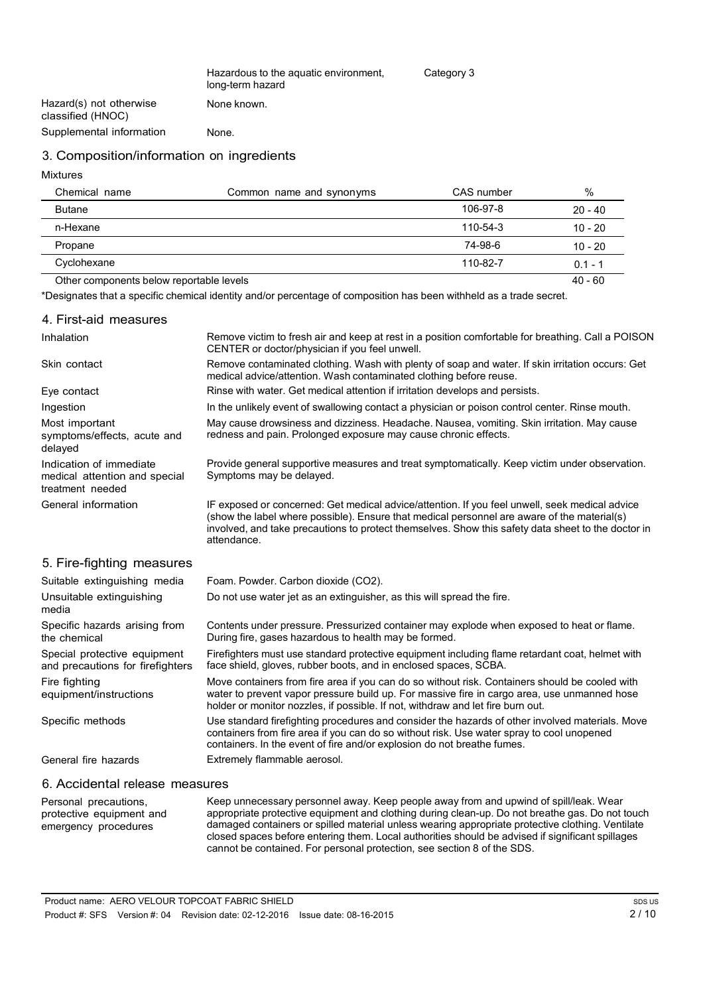| Hazardous to the aquatic environment, | Category 3 |
|---------------------------------------|------------|
| long-term hazard                      |            |
| None known.                           |            |

Hazard(s) not otherwise classified (HNOC) Supplemental information None.

### 3. Composition/information on ingredients

Mixtures

| Chemical name                            | Common name and synonyms | CAS number     | %         |
|------------------------------------------|--------------------------|----------------|-----------|
| <b>Butane</b>                            |                          | 106-97-8       | $20 - 40$ |
| n-Hexane                                 |                          | $110 - 54 - 3$ | $10 - 20$ |
| Propane                                  |                          | 74-98-6        | $10 - 20$ |
| Cyclohexane                              |                          | 110-82-7       | $0.1 - 1$ |
| Other components below reportable levels |                          |                | $40 - 60$ |

\*Designates that a specific chemical identity and/or percentage of composition has been withheld as a trade secret.

| 4. First-aid measures                                                        |                                                                                                                                                                                                                                                                                                                    |
|------------------------------------------------------------------------------|--------------------------------------------------------------------------------------------------------------------------------------------------------------------------------------------------------------------------------------------------------------------------------------------------------------------|
| Inhalation                                                                   | Remove victim to fresh air and keep at rest in a position comfortable for breathing. Call a POISON<br>CENTER or doctor/physician if you feel unwell.                                                                                                                                                               |
| Skin contact                                                                 | Remove contaminated clothing. Wash with plenty of soap and water. If skin irritation occurs: Get<br>medical advice/attention. Wash contaminated clothing before reuse.                                                                                                                                             |
| Eye contact                                                                  | Rinse with water. Get medical attention if irritation develops and persists.                                                                                                                                                                                                                                       |
| Ingestion                                                                    | In the unlikely event of swallowing contact a physician or poison control center. Rinse mouth.                                                                                                                                                                                                                     |
| Most important<br>symptoms/effects, acute and<br>delayed                     | May cause drowsiness and dizziness. Headache. Nausea, vomiting. Skin irritation. May cause<br>redness and pain. Prolonged exposure may cause chronic effects.                                                                                                                                                      |
| Indication of immediate<br>medical attention and special<br>treatment needed | Provide general supportive measures and treat symptomatically. Keep victim under observation.<br>Symptoms may be delayed.                                                                                                                                                                                          |
| General information                                                          | IF exposed or concerned: Get medical advice/attention. If you feel unwell, seek medical advice<br>(show the label where possible). Ensure that medical personnel are aware of the material(s)<br>involved, and take precautions to protect themselves. Show this safety data sheet to the doctor in<br>attendance. |
| 5. Fire-fighting measures                                                    |                                                                                                                                                                                                                                                                                                                    |
| Suitable extinguishing media                                                 | Foam. Powder. Carbon dioxide (CO2).                                                                                                                                                                                                                                                                                |
| Unsuitable extinguishing<br>media                                            | Do not use water jet as an extinguisher, as this will spread the fire.                                                                                                                                                                                                                                             |
| Specific hazards arising from<br>the chemical                                | Contents under pressure. Pressurized container may explode when exposed to heat or flame.<br>During fire, gases hazardous to health may be formed.                                                                                                                                                                 |
| Special protective equipment<br>and precautions for firefighters             | Firefighters must use standard protective equipment including flame retardant coat, helmet with<br>face shield, gloves, rubber boots, and in enclosed spaces, SCBA.                                                                                                                                                |
| Fire fighting<br>equipment/instructions                                      | Move containers from fire area if you can do so without risk. Containers should be cooled with<br>water to prevent vapor pressure build up. For massive fire in cargo area, use unmanned hose<br>holder or monitor nozzles, if possible. If not, withdraw and let fire burn out.                                   |
| Specific methods                                                             | Use standard firefighting procedures and consider the hazards of other involved materials. Move<br>containers from fire area if you can do so without risk. Use water spray to cool unopened<br>containers. In the event of fire and/or explosion do not breathe fumes.                                            |

General fire hazards

Extremely flammable aerosol.

### 6. Accidental release measures

Personal precautions, protective equipment and emergency procedures Keep unnecessary personnel away. Keep people away from and upwind of spill/leak. Wear appropriate protective equipment and clothing during clean-up. Do not breathe gas. Do not touch damaged containers or spilled material unless wearing appropriate protective clothing. Ventilate closed spaces before entering them. Local authorities should be advised if significant spillages cannot be contained. For personal protection, see section 8 of the SDS.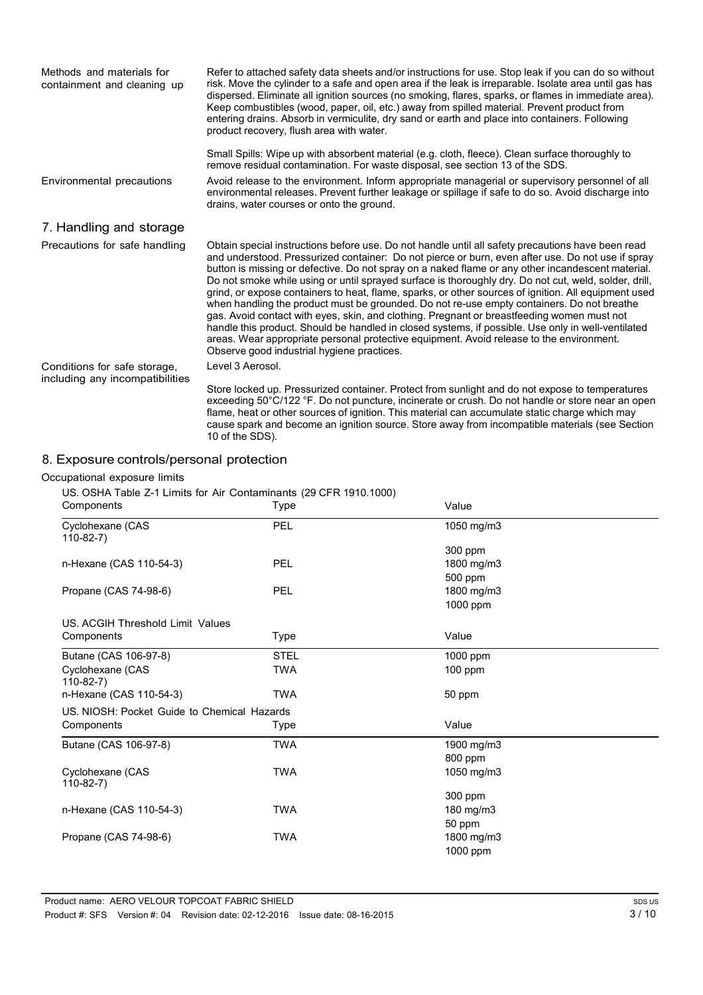| Methods and materials for<br>containment and cleaning up | Refer to attached safety data sheets and/or instructions for use. Stop leak if you can do so without<br>risk. Move the cylinder to a safe and open area if the leak is irreparable. Isolate area until gas has<br>dispersed. Eliminate all ignition sources (no smoking, flares, sparks, or flames in immediate area).<br>Keep combustibles (wood, paper, oil, etc.) away from spilled material. Prevent product from<br>entering drains. Absorb in vermiculite, dry sand or earth and place into containers. Following<br>product recovery, flush area with water.                                                                                                                                                                                                                                                                                                                                                                                                      |
|----------------------------------------------------------|--------------------------------------------------------------------------------------------------------------------------------------------------------------------------------------------------------------------------------------------------------------------------------------------------------------------------------------------------------------------------------------------------------------------------------------------------------------------------------------------------------------------------------------------------------------------------------------------------------------------------------------------------------------------------------------------------------------------------------------------------------------------------------------------------------------------------------------------------------------------------------------------------------------------------------------------------------------------------|
|                                                          | Small Spills: Wipe up with absorbent material (e.g. cloth, fleece). Clean surface thoroughly to<br>remove residual contamination. For waste disposal, see section 13 of the SDS.                                                                                                                                                                                                                                                                                                                                                                                                                                                                                                                                                                                                                                                                                                                                                                                         |
| Environmental precautions                                | Avoid release to the environment. Inform appropriate managerial or supervisory personnel of all<br>environmental releases. Prevent further leakage or spillage if safe to do so. Avoid discharge into<br>drains, water courses or onto the ground.                                                                                                                                                                                                                                                                                                                                                                                                                                                                                                                                                                                                                                                                                                                       |
| 7. Handling and storage                                  |                                                                                                                                                                                                                                                                                                                                                                                                                                                                                                                                                                                                                                                                                                                                                                                                                                                                                                                                                                          |
| Precautions for safe handling                            | Obtain special instructions before use. Do not handle until all safety precautions have been read<br>and understood. Pressurized container: Do not pierce or burn, even after use. Do not use if spray<br>button is missing or defective. Do not spray on a naked flame or any other incandescent material.<br>Do not smoke while using or until sprayed surface is thoroughly dry. Do not cut, weld, solder, drill,<br>grind, or expose containers to heat, flame, sparks, or other sources of ignition. All equipment used<br>when handling the product must be grounded. Do not re-use empty containers. Do not breathe<br>gas. Avoid contact with eyes, skin, and clothing. Pregnant or breastfeeding women must not<br>handle this product. Should be handled in closed systems, if possible. Use only in well-ventilated<br>areas. Wear appropriate personal protective equipment. Avoid release to the environment.<br>Observe good industrial hygiene practices. |
| Conditions for safe storage,                             | Level 3 Aerosol.                                                                                                                                                                                                                                                                                                                                                                                                                                                                                                                                                                                                                                                                                                                                                                                                                                                                                                                                                         |
| including any incompatibilities                          | Store locked up. Pressurized container. Protect from sunlight and do not expose to temperatures<br>exceeding 50°C/122 °F. Do not puncture, incinerate or crush. Do not handle or store near an open<br>flame, heat or other sources of ignition. This material can accumulate static charge which may<br>cause spark and become an ignition source. Store away from incompatible materials (see Section<br>10 of the SDS).                                                                                                                                                                                                                                                                                                                                                                                                                                                                                                                                               |

# 8. Exposure controls/personal protection

#### Occ

| Components                                  | Type        | Value      |  |
|---------------------------------------------|-------------|------------|--|
| Cyclohexane (CAS<br>$110-82-7)$             | <b>PEL</b>  | 1050 mg/m3 |  |
|                                             |             | 300 ppm    |  |
| n-Hexane (CAS 110-54-3)                     | <b>PEL</b>  | 1800 mg/m3 |  |
|                                             |             | 500 ppm    |  |
| Propane (CAS 74-98-6)                       | <b>PEL</b>  | 1800 mg/m3 |  |
|                                             |             | 1000 ppm   |  |
| US. ACGIH Threshold Limit Values            |             |            |  |
| Components                                  | <b>Type</b> | Value      |  |
| Butane (CAS 106-97-8)                       | <b>STEL</b> | 1000 ppm   |  |
| Cyclohexane (CAS<br>$110-82-7$              | <b>TWA</b>  | $100$ ppm  |  |
| n-Hexane (CAS 110-54-3)                     | <b>TWA</b>  | 50 ppm     |  |
| US, NIOSH: Pocket Guide to Chemical Hazards |             |            |  |
| Components                                  | Type        | Value      |  |
| Butane (CAS 106-97-8)                       | <b>TWA</b>  | 1900 mg/m3 |  |
|                                             |             | 800 ppm    |  |
| Cyclohexane (CAS<br>$110-82-7)$             | <b>TWA</b>  | 1050 mg/m3 |  |
|                                             |             | 300 ppm    |  |
| n-Hexane (CAS 110-54-3)                     | <b>TWA</b>  | 180 mg/m3  |  |
|                                             |             | 50 ppm     |  |
| Propane (CAS 74-98-6)                       | <b>TWA</b>  | 1800 mg/m3 |  |
|                                             |             | 1000 ppm   |  |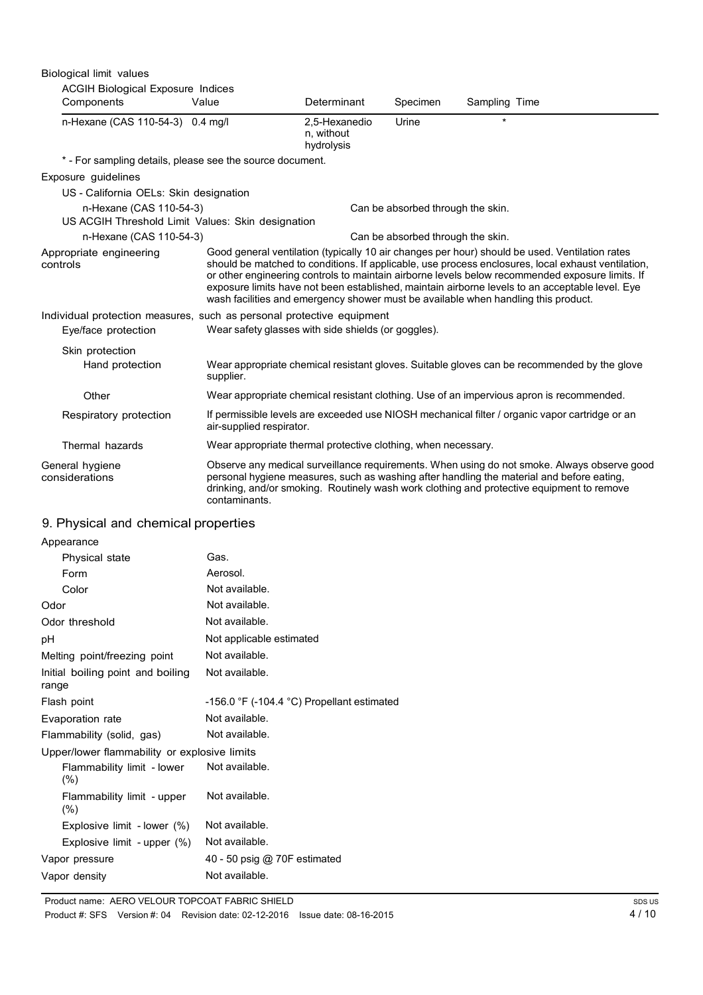| Biological limit values                                                      |                                                                                    |                                           |                                   |               |                                                                                                                                                                                                                                                                                                                                                                                                            |
|------------------------------------------------------------------------------|------------------------------------------------------------------------------------|-------------------------------------------|-----------------------------------|---------------|------------------------------------------------------------------------------------------------------------------------------------------------------------------------------------------------------------------------------------------------------------------------------------------------------------------------------------------------------------------------------------------------------------|
| <b>ACGIH Biological Exposure Indices</b><br>Components                       | Value                                                                              | Determinant                               | Specimen                          | Sampling Time |                                                                                                                                                                                                                                                                                                                                                                                                            |
| n-Hexane (CAS 110-54-3) 0.4 mg/l                                             |                                                                                    | 2.5-Hexanedio<br>n, without<br>hydrolysis | Urine                             | ÷             |                                                                                                                                                                                                                                                                                                                                                                                                            |
| * - For sampling details, please see the source document.                    |                                                                                    |                                           |                                   |               |                                                                                                                                                                                                                                                                                                                                                                                                            |
| Exposure guidelines                                                          |                                                                                    |                                           |                                   |               |                                                                                                                                                                                                                                                                                                                                                                                                            |
| US - California OELs: Skin designation                                       |                                                                                    |                                           |                                   |               |                                                                                                                                                                                                                                                                                                                                                                                                            |
| n-Hexane (CAS 110-54-3)<br>US ACGIH Threshold Limit Values: Skin designation |                                                                                    |                                           | Can be absorbed through the skin. |               |                                                                                                                                                                                                                                                                                                                                                                                                            |
| n-Hexane (CAS 110-54-3)                                                      |                                                                                    |                                           | Can be absorbed through the skin. |               |                                                                                                                                                                                                                                                                                                                                                                                                            |
| Appropriate engineering<br>controls                                          | wash facilities and emergency shower must be available when handling this product. |                                           |                                   |               | Good general ventilation (typically 10 air changes per hour) should be used. Ventilation rates<br>should be matched to conditions. If applicable, use process enclosures, local exhaust ventilation,<br>or other engineering controls to maintain airborne levels below recommended exposure limits. If<br>exposure limits have not been established, maintain airborne levels to an acceptable level. Eye |
| Individual protection measures, such as personal protective equipment        |                                                                                    |                                           |                                   |               |                                                                                                                                                                                                                                                                                                                                                                                                            |
| Eye/face protection                                                          | Wear safety glasses with side shields (or goggles).                                |                                           |                                   |               |                                                                                                                                                                                                                                                                                                                                                                                                            |
| Skin protection                                                              |                                                                                    |                                           |                                   |               |                                                                                                                                                                                                                                                                                                                                                                                                            |
| Hand protection                                                              | supplier.                                                                          |                                           |                                   |               | Wear appropriate chemical resistant gloves. Suitable gloves can be recommended by the glove                                                                                                                                                                                                                                                                                                                |
| Other                                                                        |                                                                                    |                                           |                                   |               | Wear appropriate chemical resistant clothing. Use of an impervious apron is recommended.                                                                                                                                                                                                                                                                                                                   |
| Respiratory protection                                                       | air-supplied respirator.                                                           |                                           |                                   |               | If permissible levels are exceeded use NIOSH mechanical filter / organic vapor cartridge or an                                                                                                                                                                                                                                                                                                             |
| Thermal hazards                                                              | Wear appropriate thermal protective clothing, when necessary.                      |                                           |                                   |               |                                                                                                                                                                                                                                                                                                                                                                                                            |
| General hygiene<br>considerations                                            | contaminants.                                                                      |                                           |                                   |               | Observe any medical surveillance requirements. When using do not smoke. Always observe good<br>personal hygiene measures, such as washing after handling the material and before eating,<br>drinking, and/or smoking. Routinely wash work clothing and protective equipment to remove                                                                                                                      |

# 9. Physical and chemical properties

| Appearance                                   |                                                 |
|----------------------------------------------|-------------------------------------------------|
| Physical state                               | Gas.                                            |
| Form                                         | Aerosol.                                        |
| Color                                        | Not available.                                  |
| Odor                                         | Not available.                                  |
| Odor threshold                               | Not available.                                  |
| рH                                           | Not applicable estimated                        |
| Melting point/freezing point                 | Not available.                                  |
| Initial boiling point and boiling<br>range   | Not available.                                  |
| Flash point                                  | $-156.0$ °F ( $-104.4$ °C) Propellant estimated |
| Evaporation rate                             | Not available.                                  |
| Flammability (solid, gas)                    | Not available.                                  |
| Upper/lower flammability or explosive limits |                                                 |
| Flammability limit - lower<br>(% )           | Not available.                                  |
| Flammability limit - upper<br>(% )           | Not available.                                  |
| Explosive limit - lower (%)                  | Not available.                                  |
| Explosive limit - upper $(\%)$               | Not available.                                  |
| Vapor pressure                               | 40 - 50 psig @ 70F estimated                    |
| Vapor density                                | Not available.                                  |

Product name: AERO VELOUR TOPCOAT FABRIC SHIELD

Product #: SFS Version #: 04 Revision date: 02-12-2016 Issue date: 08-16-2015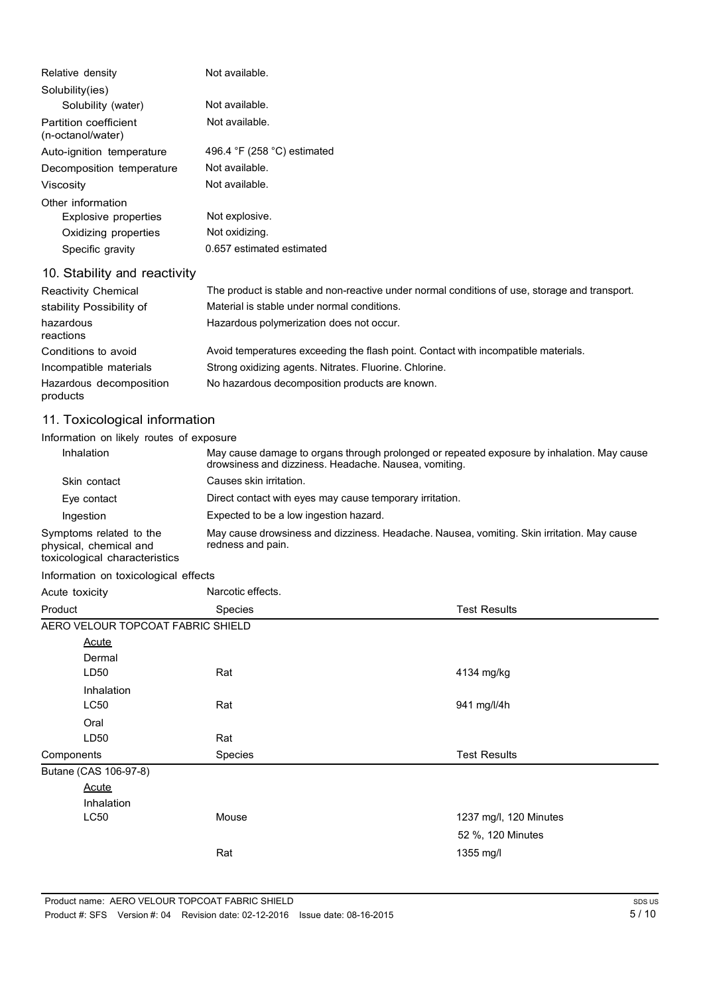| Relative density                           | Not available.                                                                                |
|--------------------------------------------|-----------------------------------------------------------------------------------------------|
| Solubility(ies)                            |                                                                                               |
| Solubility (water)                         | Not available.                                                                                |
| Partition coefficient<br>(n-octanol/water) | Not available.                                                                                |
| Auto-ignition temperature                  | 496.4 °F (258 °C) estimated                                                                   |
| Decomposition temperature                  | Not available.                                                                                |
| Viscosity                                  | Not available.                                                                                |
| Other information                          |                                                                                               |
| Explosive properties                       | Not explosive.                                                                                |
| Oxidizing properties                       | Not oxidizing.                                                                                |
| Specific gravity                           | 0.657 estimated estimated                                                                     |
| 10. Stability and reactivity               |                                                                                               |
| <b>Reactivity Chemical</b>                 | The product is stable and non-reactive under normal conditions of use, storage and transport. |
| stability Possibility of                   | Material is stable under normal conditions.                                                   |
| hazardous<br>reactions                     | Hazardous polymerization does not occur.                                                      |
| Conditions to avoid                        | Avoid temperatures exceeding the flash point. Contact with incompatible materials.            |
| Incompatible materials                     | Strong oxidizing agents. Nitrates. Fluorine. Chlorine.                                        |
| Hazardous decomposition<br>products        | No hazardous decomposition products are known.                                                |

# 11. Toxicological information

# Information on likely routes of exposure

| Inhalation                                                                         | May cause damage to organs through prolonged or repeated exposure by inhalation. May cause<br>drowsiness and dizziness. Headache. Nausea, vomiting. |
|------------------------------------------------------------------------------------|-----------------------------------------------------------------------------------------------------------------------------------------------------|
| Skin contact                                                                       | Causes skin irritation.                                                                                                                             |
| Eye contact                                                                        | Direct contact with eyes may cause temporary irritation.                                                                                            |
| Ingestion                                                                          | Expected to be a low ingestion hazard.                                                                                                              |
| Symptoms related to the<br>physical, chemical and<br>toxicological characteristics | May cause drowsiness and dizziness. Headache. Nausea, vomiting. Skin irritation. May cause<br>redness and pain.                                     |

Information on toxicological effects

| Acute toxicity                    | Narcotic effects. |                        |
|-----------------------------------|-------------------|------------------------|
| Product                           | Species           | <b>Test Results</b>    |
| AERO VELOUR TOPCOAT FABRIC SHIELD |                   |                        |
| <b>Acute</b>                      |                   |                        |
| Dermal                            |                   |                        |
| LD <sub>50</sub>                  | Rat               | 4134 mg/kg             |
| Inhalation                        |                   |                        |
| LC50                              | Rat               | 941 mg/l/4h            |
| Oral                              |                   |                        |
| LD <sub>50</sub>                  | Rat               |                        |
| Components                        | Species           | <b>Test Results</b>    |
| Butane (CAS 106-97-8)             |                   |                        |
| <b>Acute</b>                      |                   |                        |
| <b>Inhalation</b>                 |                   |                        |
| LC50                              | Mouse             | 1237 mg/l, 120 Minutes |
|                                   |                   | 52 %, 120 Minutes      |
|                                   | Rat               | 1355 mg/l              |
|                                   |                   |                        |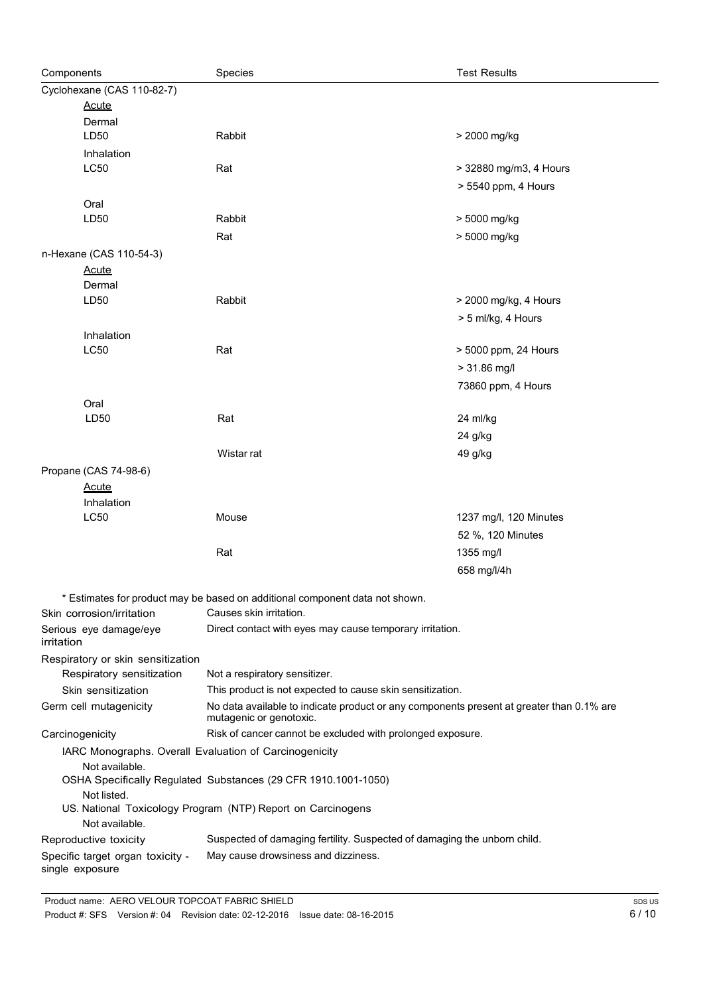| Components      |                                                                            | Species                                                                                                             | <b>Test Results</b>    |
|-----------------|----------------------------------------------------------------------------|---------------------------------------------------------------------------------------------------------------------|------------------------|
|                 | Cyclohexane (CAS 110-82-7)                                                 |                                                                                                                     |                        |
|                 | <b>Acute</b>                                                               |                                                                                                                     |                        |
|                 | Dermal                                                                     |                                                                                                                     |                        |
|                 | LD50                                                                       | Rabbit                                                                                                              | > 2000 mg/kg           |
|                 | Inhalation                                                                 |                                                                                                                     |                        |
|                 | LC50                                                                       | Rat                                                                                                                 | > 32880 mg/m3, 4 Hours |
|                 |                                                                            |                                                                                                                     | > 5540 ppm, 4 Hours    |
|                 | Oral                                                                       |                                                                                                                     |                        |
|                 | LD50                                                                       | Rabbit                                                                                                              | > 5000 mg/kg           |
|                 |                                                                            | Rat                                                                                                                 | > 5000 mg/kg           |
|                 | n-Hexane (CAS 110-54-3)                                                    |                                                                                                                     |                        |
|                 | <b>Acute</b><br>Dermal                                                     |                                                                                                                     |                        |
|                 | LD50                                                                       | Rabbit                                                                                                              | > 2000 mg/kg, 4 Hours  |
|                 |                                                                            |                                                                                                                     | > 5 ml/kg, 4 Hours     |
|                 | Inhalation                                                                 |                                                                                                                     |                        |
|                 | LC50                                                                       | Rat                                                                                                                 | > 5000 ppm, 24 Hours   |
|                 |                                                                            |                                                                                                                     | $> 31.86$ mg/l         |
|                 |                                                                            |                                                                                                                     | 73860 ppm, 4 Hours     |
|                 | Oral                                                                       |                                                                                                                     |                        |
|                 | LD50                                                                       | Rat                                                                                                                 | 24 ml/kg               |
|                 |                                                                            |                                                                                                                     | 24 g/kg                |
|                 |                                                                            | Wistar rat                                                                                                          | 49 g/kg                |
|                 | Propane (CAS 74-98-6)                                                      |                                                                                                                     |                        |
|                 | <b>Acute</b>                                                               |                                                                                                                     |                        |
|                 | Inhalation                                                                 |                                                                                                                     |                        |
|                 | <b>LC50</b>                                                                | Mouse                                                                                                               | 1237 mg/l, 120 Minutes |
|                 |                                                                            |                                                                                                                     | 52 %, 120 Minutes      |
|                 |                                                                            | Rat                                                                                                                 | 1355 mg/l              |
|                 |                                                                            |                                                                                                                     | 658 mg/l/4h            |
|                 |                                                                            |                                                                                                                     |                        |
|                 | Skin corrosion/irritation                                                  | Estimates for product may be based on additional component data not shown.<br>Causes skin irritation.               |                        |
|                 | Serious eye damage/eye                                                     | Direct contact with eyes may cause temporary irritation.                                                            |                        |
| irritation      |                                                                            |                                                                                                                     |                        |
|                 | Respiratory or skin sensitization                                          |                                                                                                                     |                        |
|                 | Respiratory sensitization                                                  | Not a respiratory sensitizer.                                                                                       |                        |
|                 | Skin sensitization                                                         | This product is not expected to cause skin sensitization.                                                           |                        |
|                 | Germ cell mutagenicity                                                     | No data available to indicate product or any components present at greater than 0.1% are<br>mutagenic or genotoxic. |                        |
| Carcinogenicity |                                                                            | Risk of cancer cannot be excluded with prolonged exposure.                                                          |                        |
|                 |                                                                            | IARC Monographs. Overall Evaluation of Carcinogenicity                                                              |                        |
|                 | Not available.                                                             | OSHA Specifically Regulated Substances (29 CFR 1910.1001-1050)                                                      |                        |
|                 | Not listed.<br>US. National Toxicology Program (NTP) Report on Carcinogens |                                                                                                                     |                        |
|                 | Not available.                                                             |                                                                                                                     |                        |
|                 | Reproductive toxicity                                                      | Suspected of damaging fertility. Suspected of damaging the unborn child.                                            |                        |
|                 | Specific target organ toxicity -<br>single exposure                        | May cause drowsiness and dizziness.                                                                                 |                        |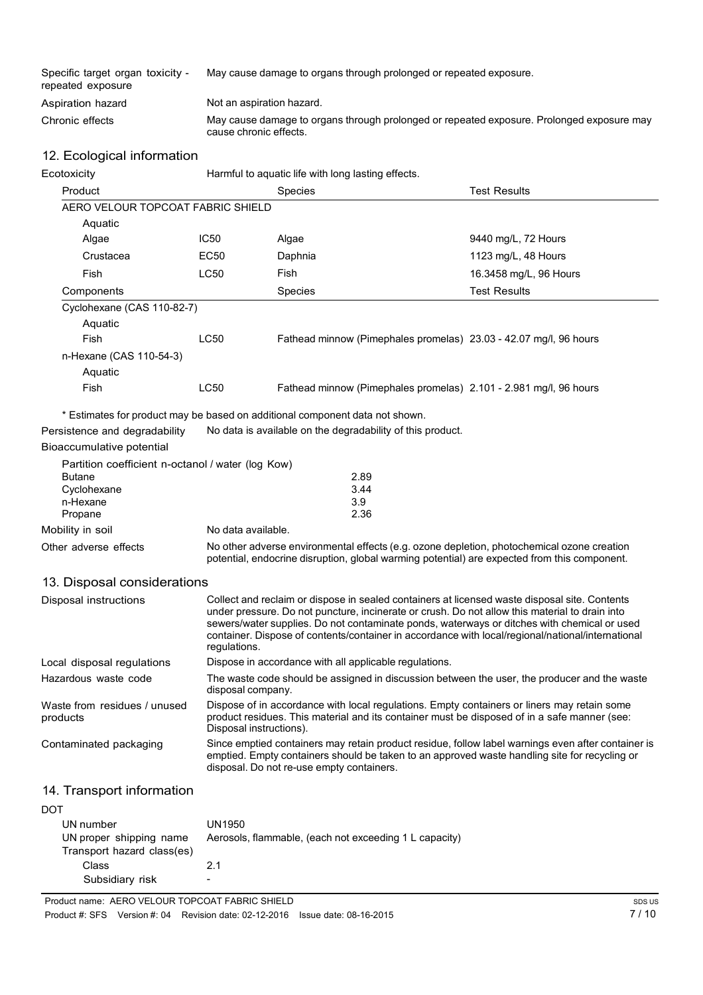| Specific target organ toxicity -<br>repeated exposure | May cause damage to organs through prolonged or repeated exposure.                                                  |
|-------------------------------------------------------|---------------------------------------------------------------------------------------------------------------------|
| Aspiration hazard                                     | Not an aspiration hazard.                                                                                           |
| Chronic effects                                       | May cause damage to organs through prolonged or repeated exposure. Prolonged exposure may<br>cause chronic effects. |

#### 12. Ecological information

| Ecotoxicity                       | Harmful to aquatic life with long lasting effects. |                                                                   |                        |
|-----------------------------------|----------------------------------------------------|-------------------------------------------------------------------|------------------------|
| Product                           |                                                    | <b>Species</b>                                                    | <b>Test Results</b>    |
| AERO VELOUR TOPCOAT FABRIC SHIELD |                                                    |                                                                   |                        |
| Aquatic                           |                                                    |                                                                   |                        |
| Algae                             | IC50                                               | Algae                                                             | 9440 mg/L, 72 Hours    |
| Crustacea                         | EC50                                               | Daphnia                                                           | 1123 mg/L, 48 Hours    |
| Fish                              | <b>LC50</b>                                        | Fish                                                              | 16.3458 mg/L, 96 Hours |
| Components                        |                                                    | <b>Species</b>                                                    | <b>Test Results</b>    |
| Cyclohexane (CAS 110-82-7)        |                                                    |                                                                   |                        |
| Aquatic                           |                                                    |                                                                   |                        |
| <b>Fish</b>                       | LC50                                               | Fathead minnow (Pimephales promelas) 23.03 - 42.07 mg/l, 96 hours |                        |
| n-Hexane (CAS 110-54-3)           |                                                    |                                                                   |                        |
| Aquatic                           |                                                    |                                                                   |                        |
| Fish                              | LC50                                               | Fathead minnow (Pimephales promelas) 2.101 - 2.981 mg/l, 96 hours |                        |

\* Estimates for product may be based on additional component data not shown.

Persistence and degradability No data is available on the degradability of this product.

#### Bioaccumulative potential

|                                                                                                                                                                                                                     | Partition coefficient n-octanol / water (log Kow) |
|---------------------------------------------------------------------------------------------------------------------------------------------------------------------------------------------------------------------|---------------------------------------------------|
| <b>Butane</b>                                                                                                                                                                                                       | 2.89                                              |
| Cyclohexane                                                                                                                                                                                                         | 3.44                                              |
| n-Hexane                                                                                                                                                                                                            | 3.9                                               |
| Propane                                                                                                                                                                                                             | 2.36                                              |
| Mobility in soil                                                                                                                                                                                                    | No data available.                                |
| No other adverse environmental effects (e.g. ozone depletion, photochemical ozone creation<br>Other adverse effects<br>potential, endocrine disruption, global warming potential) are expected from this component. |                                                   |

#### 13. Disposal considerations

| Disposal instructions                    | Collect and reclaim or dispose in sealed containers at licensed waste disposal site. Contents<br>under pressure. Do not puncture, incinerate or crush. Do not allow this material to drain into<br>sewers/water supplies. Do not contaminate ponds, waterways or ditches with chemical or used<br>container. Dispose of contents/container in accordance with local/regional/national/international<br>regulations. |
|------------------------------------------|---------------------------------------------------------------------------------------------------------------------------------------------------------------------------------------------------------------------------------------------------------------------------------------------------------------------------------------------------------------------------------------------------------------------|
| Local disposal regulations               | Dispose in accordance with all applicable regulations.                                                                                                                                                                                                                                                                                                                                                              |
| Hazardous waste code                     | The waste code should be assigned in discussion between the user, the producer and the waste<br>disposal company.                                                                                                                                                                                                                                                                                                   |
| Waste from residues / unused<br>products | Dispose of in accordance with local regulations. Empty containers or liners may retain some<br>product residues. This material and its container must be disposed of in a safe manner (see:<br>Disposal instructions).                                                                                                                                                                                              |
| Contaminated packaging                   | Since emptied containers may retain product residue, follow label warnings even after container is<br>emptied. Empty containers should be taken to an approved waste handling site for recycling or<br>disposal. Do not re-use empty containers.                                                                                                                                                                    |

### 14. Transport information

| DOT                        |                                                        |
|----------------------------|--------------------------------------------------------|
| UN number                  | UN1950                                                 |
| UN proper shipping name    | Aerosols, flammable, (each not exceeding 1 L capacity) |
| Transport hazard class(es) |                                                        |
| Class                      | 21                                                     |
| Subsidiary risk            | $\overline{\phantom{0}}$                               |

Product name: AERO VELOUR TOPCOAT FABRIC SHIELD Product #: SFS Version #: 04 Revision date: 02-12-2016 Issue date: 08-16-2015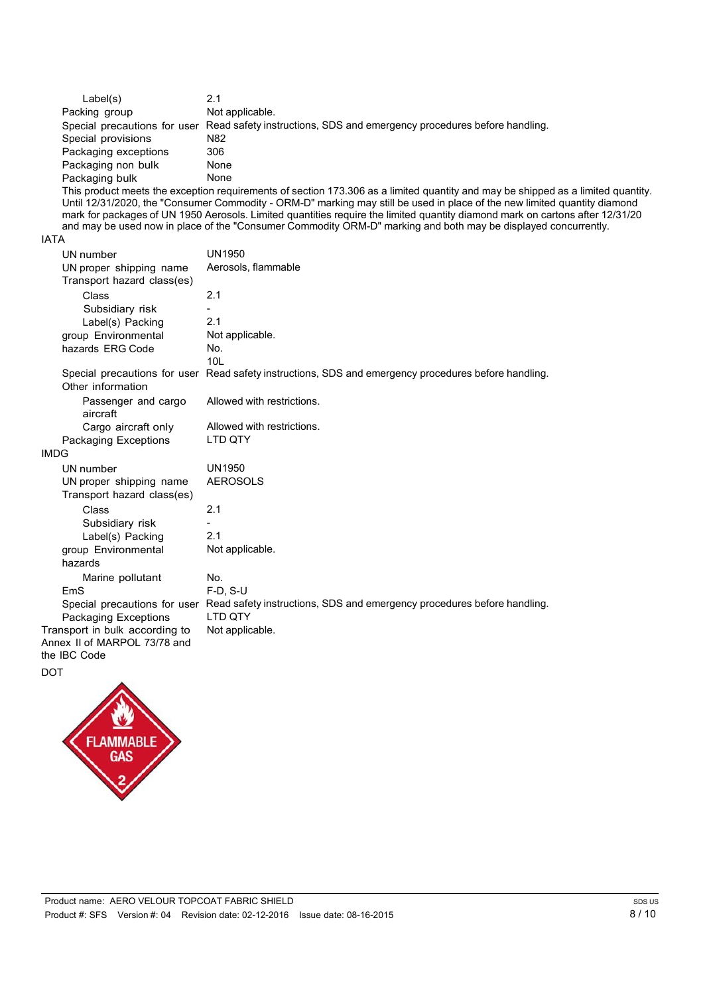| Label(s)             | 2.1                                                                                                  |
|----------------------|------------------------------------------------------------------------------------------------------|
| Packing group        | Not applicable.                                                                                      |
|                      | Special precautions for user Read safety instructions, SDS and emergency procedures before handling. |
| Special provisions   | N82                                                                                                  |
| Packaging exceptions | 306                                                                                                  |
| Packaging non bulk   | None                                                                                                 |
| Packaging bulk       | None                                                                                                 |

This product meets the exception requirements of section 173.306 as a limited quantity and may be shipped as a limited quantity. Until 12/31/2020, the "Consumer Commodity - ORM-D" marking may still be used in place of the new limited quantity diamond mark for packages of UN 1950 Aerosols. Limited quantities require the limited quantity diamond mark on cartons after 12/31/20 and may be used now in place of the "Consumer Commodity ORM-D" marking and both may be displayed concurrently.

#### IATA

| UN number<br>UN proper shipping name | <b>UN1950</b><br>Aerosols, flammable                                                                 |
|--------------------------------------|------------------------------------------------------------------------------------------------------|
| Transport hazard class(es)           |                                                                                                      |
| Class                                | 2.1                                                                                                  |
| Subsidiary risk                      |                                                                                                      |
| Label(s) Packing                     | 2.1                                                                                                  |
| group Environmental                  | Not applicable.                                                                                      |
| hazards ERG Code                     | No.                                                                                                  |
|                                      | 101                                                                                                  |
| Other information                    | Special precautions for user Read safety instructions, SDS and emergency procedures before handling. |
| Passenger and cargo<br>aircraft      | Allowed with restrictions.                                                                           |
| Cargo aircraft only                  | Allowed with restrictions.                                                                           |
| Packaging Exceptions                 | LTD QTY                                                                                              |
| <b>IMDG</b>                          |                                                                                                      |
| UN number                            | <b>UN1950</b>                                                                                        |
| UN proper shipping name              | <b>AEROSOLS</b>                                                                                      |
| Transport hazard class(es)           |                                                                                                      |
| Class                                | 2.1                                                                                                  |
| Subsidiary risk                      |                                                                                                      |
| Label(s) Packing                     | 2.1                                                                                                  |
| group Environmental                  | Not applicable.                                                                                      |
| hazards                              |                                                                                                      |
| Marine pollutant                     | No.                                                                                                  |
| EmS                                  | $F-D. S-U$                                                                                           |
|                                      | Special precautions for user Read safety instructions, SDS and emergency procedures before handling. |
| Packaging Exceptions                 | <b>LTD OTY</b>                                                                                       |
| Transport in bulk according to       | Not applicable.                                                                                      |
| Annex II of MARPOL 73/78 and         |                                                                                                      |
| the IBC Code                         |                                                                                                      |
| <b>DOT</b>                           |                                                                                                      |

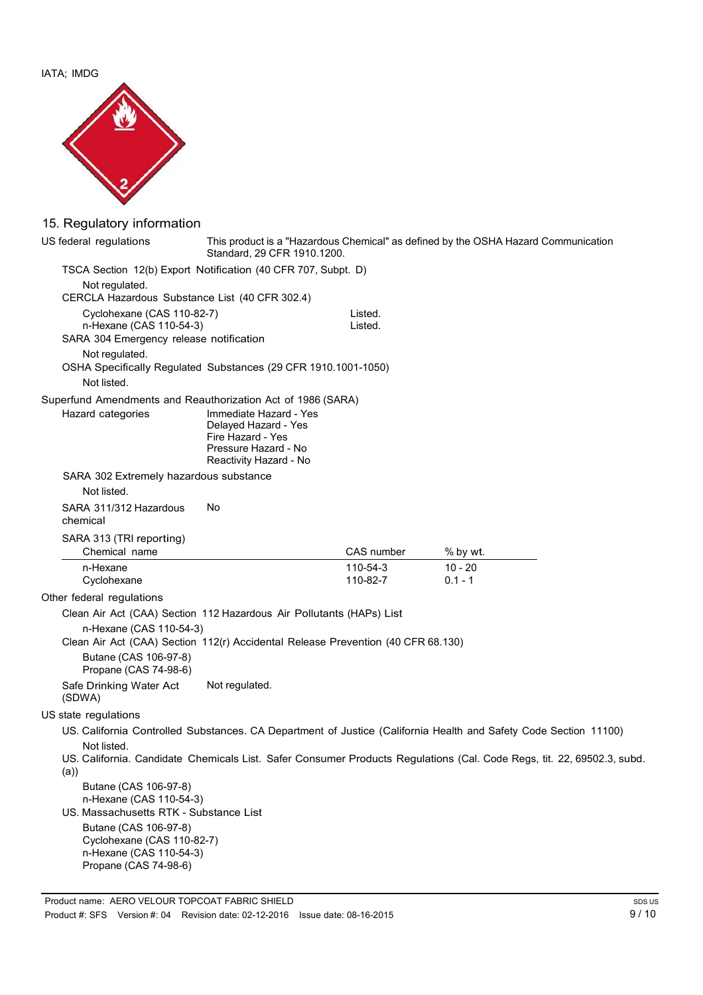IATA; IMDG



# 15. Regulatory information

| US federal regulations                                                                                      | Standard, 29 CFR 1910.1200.                                                                                           |                      | This product is a "Hazardous Chemical" as defined by the OSHA Hazard Communication                                     |
|-------------------------------------------------------------------------------------------------------------|-----------------------------------------------------------------------------------------------------------------------|----------------------|------------------------------------------------------------------------------------------------------------------------|
| TSCA Section 12(b) Export Notification (40 CFR 707, Subpt. D)                                               |                                                                                                                       |                      |                                                                                                                        |
| Not regulated.                                                                                              |                                                                                                                       |                      |                                                                                                                        |
| CERCLA Hazardous Substance List (40 CFR 302.4)                                                              |                                                                                                                       |                      |                                                                                                                        |
| Cyclohexane (CAS 110-82-7)                                                                                  |                                                                                                                       | Listed.              |                                                                                                                        |
| n-Hexane (CAS 110-54-3)<br>SARA 304 Emergency release notification                                          |                                                                                                                       | Listed.              |                                                                                                                        |
| Not regulated.                                                                                              |                                                                                                                       |                      |                                                                                                                        |
| OSHA Specifically Regulated Substances (29 CFR 1910.1001-1050)                                              |                                                                                                                       |                      |                                                                                                                        |
| Not listed.                                                                                                 |                                                                                                                       |                      |                                                                                                                        |
| Superfund Amendments and Reauthorization Act of 1986 (SARA)                                                 |                                                                                                                       |                      |                                                                                                                        |
| Hazard categories                                                                                           | Immediate Hazard - Yes<br>Delayed Hazard - Yes<br>Fire Hazard - Yes<br>Pressure Hazard - No<br>Reactivity Hazard - No |                      |                                                                                                                        |
| SARA 302 Extremely hazardous substance                                                                      |                                                                                                                       |                      |                                                                                                                        |
| Not listed.                                                                                                 |                                                                                                                       |                      |                                                                                                                        |
| SARA 311/312 Hazardous<br>chemical                                                                          | No                                                                                                                    |                      |                                                                                                                        |
| SARA 313 (TRI reporting)                                                                                    |                                                                                                                       |                      |                                                                                                                        |
| Chemical name                                                                                               |                                                                                                                       | CAS number           | % by wt.                                                                                                               |
| n-Hexane<br>Cyclohexane                                                                                     |                                                                                                                       | 110-54-3<br>110-82-7 | $10 - 20$<br>$0.1 - 1$                                                                                                 |
| Other federal regulations                                                                                   |                                                                                                                       |                      |                                                                                                                        |
| Clean Air Act (CAA) Section 112 Hazardous Air Pollutants (HAPs) List                                        |                                                                                                                       |                      |                                                                                                                        |
| n-Hexane (CAS 110-54-3)<br>Clean Air Act (CAA) Section 112(r) Accidental Release Prevention (40 CFR 68.130) |                                                                                                                       |                      |                                                                                                                        |
| Butane (CAS 106-97-8)<br>Propane (CAS 74-98-6)                                                              |                                                                                                                       |                      |                                                                                                                        |
| Safe Drinking Water Act<br>(SDWA)                                                                           | Not regulated.                                                                                                        |                      |                                                                                                                        |
| US state regulations                                                                                        |                                                                                                                       |                      |                                                                                                                        |
|                                                                                                             |                                                                                                                       |                      | US. California Controlled Substances. CA Department of Justice (California Health and Safety Code Section 11100)       |
| Not listed.<br>(a)                                                                                          |                                                                                                                       |                      | US. California. Candidate Chemicals List. Safer Consumer Products Regulations (Cal. Code Regs, tit. 22, 69502.3, subd. |
| Butane (CAS 106-97-8)                                                                                       |                                                                                                                       |                      |                                                                                                                        |
| n-Hexane (CAS 110-54-3)                                                                                     |                                                                                                                       |                      |                                                                                                                        |
| US. Massachusetts RTK - Substance List                                                                      |                                                                                                                       |                      |                                                                                                                        |
| Butane (CAS 106-97-8)<br>Cyclohexane (CAS 110-82-7)                                                         |                                                                                                                       |                      |                                                                                                                        |
| n-Hexane (CAS 110-54-3)                                                                                     |                                                                                                                       |                      |                                                                                                                        |
| Propane (CAS 74-98-6)                                                                                       |                                                                                                                       |                      |                                                                                                                        |